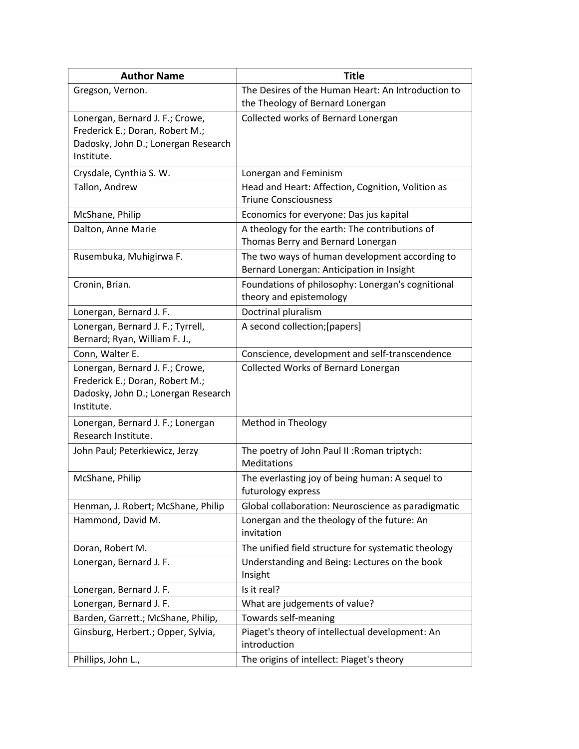| <b>Author Name</b>                                                 | <b>Title</b>                                                                                      |
|--------------------------------------------------------------------|---------------------------------------------------------------------------------------------------|
| Gregson, Vernon.                                                   | The Desires of the Human Heart: An Introduction to                                                |
|                                                                    | the Theology of Bernard Lonergan                                                                  |
| Lonergan, Bernard J. F.; Crowe,                                    | Collected works of Bernard Lonergan                                                               |
| Frederick E.; Doran, Robert M.;                                    |                                                                                                   |
| Dadosky, John D.; Lonergan Research                                |                                                                                                   |
| Institute.                                                         |                                                                                                   |
| Crysdale, Cynthia S. W.                                            | Lonergan and Feminism                                                                             |
| Tallon, Andrew                                                     | Head and Heart: Affection, Cognition, Volition as<br><b>Triune Consciousness</b>                  |
|                                                                    |                                                                                                   |
| McShane, Philip                                                    | Economics for everyone: Das jus kapital<br>A theology for the earth: The contributions of         |
| Dalton, Anne Marie                                                 | Thomas Berry and Bernard Lonergan                                                                 |
| Rusembuka, Muhigirwa F.                                            | The two ways of human development according to<br>Bernard Lonergan: Anticipation in Insight       |
| Cronin, Brian.                                                     | Foundations of philosophy: Lonergan's cognitional<br>theory and epistemology                      |
| Lonergan, Bernard J. F.                                            | Doctrinal pluralism                                                                               |
| Lonergan, Bernard J. F.; Tyrrell,<br>Bernard; Ryan, William F. J., | A second collection; [papers]                                                                     |
| Conn, Walter E.                                                    | Conscience, development and self-transcendence                                                    |
| Lonergan, Bernard J. F.; Crowe,                                    | Collected Works of Bernard Lonergan                                                               |
| Frederick E.; Doran, Robert M.;                                    |                                                                                                   |
| Dadosky, John D.; Lonergan Research                                |                                                                                                   |
| Institute.                                                         |                                                                                                   |
| Lonergan, Bernard J. F.; Lonergan<br>Research Institute.           | Method in Theology                                                                                |
| John Paul; Peterkiewicz, Jerzy                                     | The poetry of John Paul II: Roman triptych:<br>Meditations                                        |
| McShane, Philip                                                    | The everlasting joy of being human: A sequel to                                                   |
| Henman, J. Robert; McShane, Philip                                 | futurology express                                                                                |
|                                                                    | Global collaboration: Neuroscience as paradigmatic<br>Lonergan and the theology of the future: An |
| Hammond, David M.                                                  | invitation                                                                                        |
| Doran, Robert M.                                                   | The unified field structure for systematic theology                                               |
| Lonergan, Bernard J. F.                                            | Understanding and Being: Lectures on the book                                                     |
|                                                                    | Insight                                                                                           |
| Lonergan, Bernard J. F.                                            | Is it real?                                                                                       |
| Lonergan, Bernard J. F.                                            | What are judgements of value?                                                                     |
| Barden, Garrett.; McShane, Philip,                                 | Towards self-meaning                                                                              |
| Ginsburg, Herbert.; Opper, Sylvia,                                 | Piaget's theory of intellectual development: An<br>introduction                                   |
| Phillips, John L.,                                                 | The origins of intellect: Piaget's theory                                                         |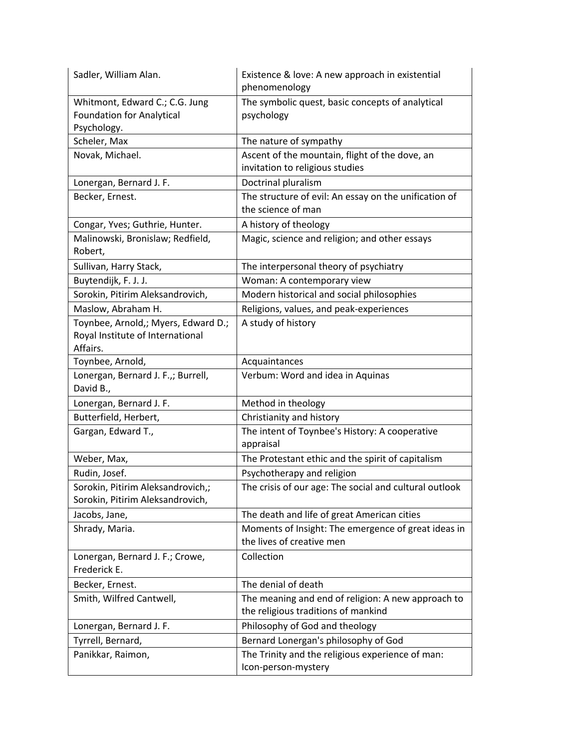| Sadler, William Alan.                                                               | Existence & love: A new approach in existential<br>phenomenology                          |
|-------------------------------------------------------------------------------------|-------------------------------------------------------------------------------------------|
| Whitmont, Edward C.; C.G. Jung<br><b>Foundation for Analytical</b><br>Psychology.   | The symbolic quest, basic concepts of analytical<br>psychology                            |
| Scheler, Max                                                                        | The nature of sympathy                                                                    |
| Novak, Michael.                                                                     | Ascent of the mountain, flight of the dove, an<br>invitation to religious studies         |
| Lonergan, Bernard J. F.                                                             | Doctrinal pluralism                                                                       |
| Becker, Ernest.                                                                     | The structure of evil: An essay on the unification of<br>the science of man               |
| Congar, Yves; Guthrie, Hunter.                                                      | A history of theology                                                                     |
| Malinowski, Bronislaw; Redfield,<br>Robert,                                         | Magic, science and religion; and other essays                                             |
| Sullivan, Harry Stack,                                                              | The interpersonal theory of psychiatry                                                    |
| Buytendijk, F. J. J.                                                                | Woman: A contemporary view                                                                |
| Sorokin, Pitirim Aleksandrovich,                                                    | Modern historical and social philosophies                                                 |
| Maslow, Abraham H.                                                                  | Religions, values, and peak-experiences                                                   |
| Toynbee, Arnold,; Myers, Edward D.;<br>Royal Institute of International<br>Affairs. | A study of history                                                                        |
| Toynbee, Arnold,                                                                    | Acquaintances                                                                             |
| Lonergan, Bernard J. F.,; Burrell,<br>David B.,                                     | Verbum: Word and idea in Aquinas                                                          |
| Lonergan, Bernard J. F.                                                             | Method in theology                                                                        |
| Butterfield, Herbert,                                                               | Christianity and history                                                                  |
| Gargan, Edward T.,                                                                  | The intent of Toynbee's History: A cooperative<br>appraisal                               |
| Weber, Max,                                                                         | The Protestant ethic and the spirit of capitalism                                         |
| Rudin, Josef.                                                                       | Psychotherapy and religion                                                                |
| Sorokin, Pitirim Aleksandrovich,;<br>Sorokin, Pitirim Aleksandrovich,               | The crisis of our age: The social and cultural outlook                                    |
| Jacobs, Jane,                                                                       | The death and life of great American cities                                               |
| Shrady, Maria.                                                                      | Moments of Insight: The emergence of great ideas in<br>the lives of creative men          |
| Lonergan, Bernard J. F.; Crowe,<br>Frederick E.                                     | Collection                                                                                |
| Becker, Ernest.                                                                     | The denial of death                                                                       |
| Smith, Wilfred Cantwell,                                                            | The meaning and end of religion: A new approach to<br>the religious traditions of mankind |
| Lonergan, Bernard J. F.                                                             | Philosophy of God and theology                                                            |
| Tyrrell, Bernard,                                                                   | Bernard Lonergan's philosophy of God                                                      |
| Panikkar, Raimon,                                                                   | The Trinity and the religious experience of man:<br>Icon-person-mystery                   |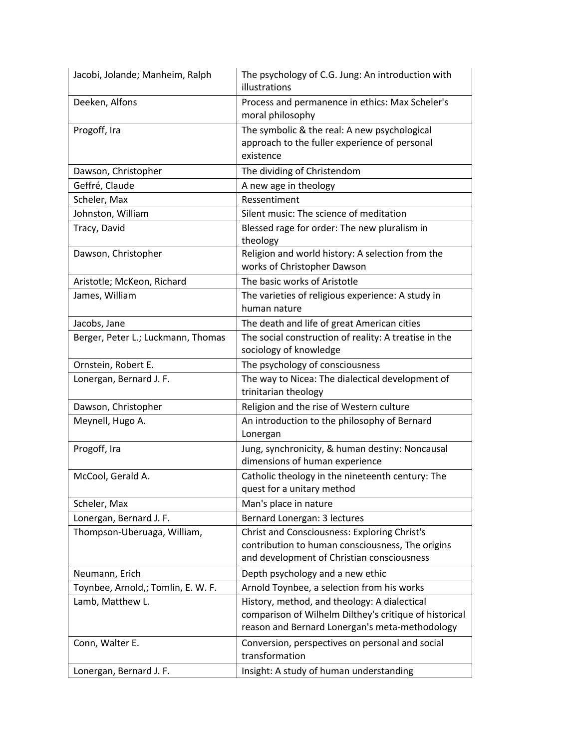| Jacobi, Jolande; Manheim, Ralph    | The psychology of C.G. Jung: An introduction with<br>illustrations                                                                                       |
|------------------------------------|----------------------------------------------------------------------------------------------------------------------------------------------------------|
| Deeken, Alfons                     | Process and permanence in ethics: Max Scheler's<br>moral philosophy                                                                                      |
| Progoff, Ira                       | The symbolic & the real: A new psychological<br>approach to the fuller experience of personal<br>existence                                               |
| Dawson, Christopher                | The dividing of Christendom                                                                                                                              |
| Geffré, Claude                     | A new age in theology                                                                                                                                    |
| Scheler, Max                       | Ressentiment                                                                                                                                             |
| Johnston, William                  | Silent music: The science of meditation                                                                                                                  |
| Tracy, David                       | Blessed rage for order: The new pluralism in<br>theology                                                                                                 |
| Dawson, Christopher                | Religion and world history: A selection from the<br>works of Christopher Dawson                                                                          |
| Aristotle; McKeon, Richard         | The basic works of Aristotle                                                                                                                             |
| James, William                     | The varieties of religious experience: A study in<br>human nature                                                                                        |
| Jacobs, Jane                       | The death and life of great American cities                                                                                                              |
| Berger, Peter L.; Luckmann, Thomas | The social construction of reality: A treatise in the<br>sociology of knowledge                                                                          |
| Ornstein, Robert E.                | The psychology of consciousness                                                                                                                          |
| Lonergan, Bernard J. F.            | The way to Nicea: The dialectical development of<br>trinitarian theology                                                                                 |
| Dawson, Christopher                | Religion and the rise of Western culture                                                                                                                 |
| Meynell, Hugo A.                   | An introduction to the philosophy of Bernard<br>Lonergan                                                                                                 |
| Progoff, Ira                       | Jung, synchronicity, & human destiny: Noncausal<br>dimensions of human experience                                                                        |
| McCool, Gerald A.                  | Catholic theology in the nineteenth century: The<br>quest for a unitary method                                                                           |
| Scheler, Max                       | Man's place in nature                                                                                                                                    |
| Lonergan, Bernard J. F.            | Bernard Lonergan: 3 lectures                                                                                                                             |
| Thompson-Uberuaga, William,        | <b>Christ and Consciousness: Exploring Christ's</b><br>contribution to human consciousness, The origins<br>and development of Christian consciousness    |
| Neumann, Erich                     | Depth psychology and a new ethic                                                                                                                         |
| Toynbee, Arnold,; Tomlin, E. W. F. | Arnold Toynbee, a selection from his works                                                                                                               |
| Lamb, Matthew L.                   | History, method, and theology: A dialectical<br>comparison of Wilhelm Dilthey's critique of historical<br>reason and Bernard Lonergan's meta-methodology |
| Conn, Walter E.                    | Conversion, perspectives on personal and social<br>transformation                                                                                        |
| Lonergan, Bernard J. F.            | Insight: A study of human understanding                                                                                                                  |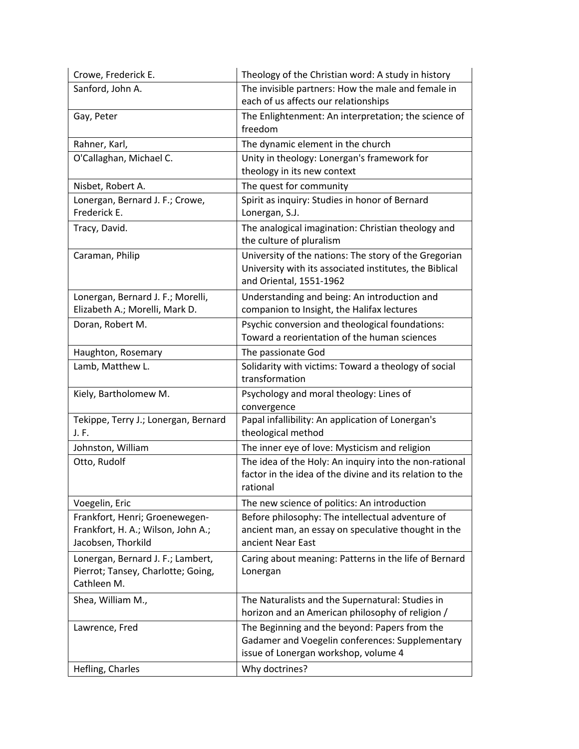| Crowe, Frederick E.                               | Theology of the Christian word: A study in history                                               |
|---------------------------------------------------|--------------------------------------------------------------------------------------------------|
| Sanford, John A.                                  | The invisible partners: How the male and female in                                               |
|                                                   | each of us affects our relationships                                                             |
| Gay, Peter                                        | The Enlightenment: An interpretation; the science of                                             |
|                                                   | freedom                                                                                          |
| Rahner, Karl,                                     | The dynamic element in the church                                                                |
| O'Callaghan, Michael C.                           | Unity in theology: Lonergan's framework for                                                      |
|                                                   | theology in its new context                                                                      |
| Nisbet, Robert A.                                 | The quest for community                                                                          |
| Lonergan, Bernard J. F.; Crowe,                   | Spirit as inquiry: Studies in honor of Bernard                                                   |
| Frederick E.                                      | Lonergan, S.J.                                                                                   |
| Tracy, David.                                     | The analogical imagination: Christian theology and<br>the culture of pluralism                   |
| Caraman, Philip                                   | University of the nations: The story of the Gregorian                                            |
|                                                   | University with its associated institutes, the Biblical                                          |
|                                                   | and Oriental, 1551-1962                                                                          |
| Lonergan, Bernard J. F.; Morelli,                 | Understanding and being: An introduction and                                                     |
| Elizabeth A.; Morelli, Mark D.                    | companion to Insight, the Halifax lectures                                                       |
| Doran, Robert M.                                  | Psychic conversion and theological foundations:                                                  |
|                                                   | Toward a reorientation of the human sciences                                                     |
| Haughton, Rosemary                                | The passionate God                                                                               |
| Lamb, Matthew L.                                  | Solidarity with victims: Toward a theology of social<br>transformation                           |
| Kiely, Bartholomew M.                             | Psychology and moral theology: Lines of                                                          |
|                                                   | convergence                                                                                      |
| Tekippe, Terry J.; Lonergan, Bernard              | Papal infallibility: An application of Lonergan's                                                |
| J. F.                                             | theological method                                                                               |
| Johnston, William                                 | The inner eye of love: Mysticism and religion                                                    |
| Otto, Rudolf                                      | The idea of the Holy: An inquiry into the non-rational                                           |
|                                                   | factor in the idea of the divine and its relation to the                                         |
|                                                   | rational                                                                                         |
| Voegelin, Eric                                    | The new science of politics: An introduction                                                     |
| Frankfort, Henri; Groenewegen-                    | Before philosophy: The intellectual adventure of                                                 |
| Frankfort, H. A.; Wilson, John A.;                | ancient man, an essay on speculative thought in the                                              |
| Jacobsen, Thorkild                                | ancient Near East                                                                                |
| Lonergan, Bernard J. F.; Lambert,                 | Caring about meaning: Patterns in the life of Bernard                                            |
| Pierrot; Tansey, Charlotte; Going,<br>Cathleen M. | Lonergan                                                                                         |
|                                                   |                                                                                                  |
| Shea, William M.,                                 | The Naturalists and the Supernatural: Studies in                                                 |
|                                                   | horizon and an American philosophy of religion /                                                 |
| Lawrence, Fred                                    | The Beginning and the beyond: Papers from the<br>Gadamer and Voegelin conferences: Supplementary |
|                                                   | issue of Lonergan workshop, volume 4                                                             |
|                                                   | Why doctrines?                                                                                   |
| Hefling, Charles                                  |                                                                                                  |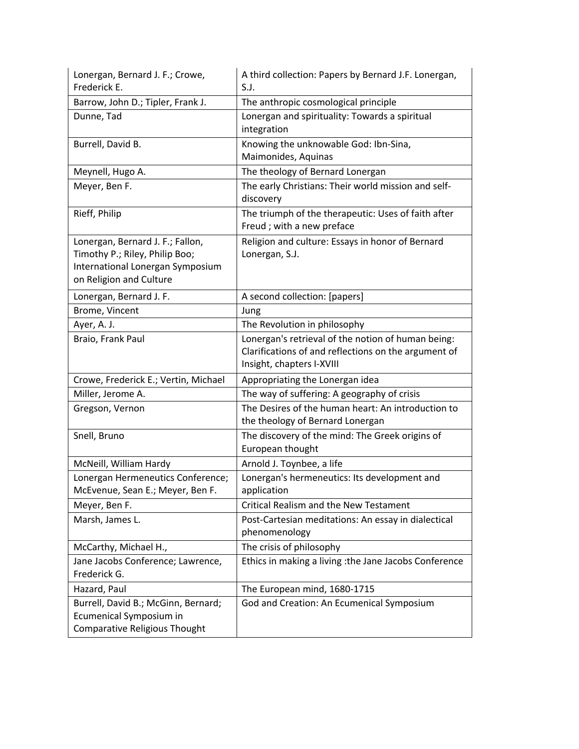| Lonergan, Bernard J. F.; Crowe,<br>Frederick E.                                                                                   | A third collection: Papers by Bernard J.F. Lonergan,<br>S.J.                                                                            |
|-----------------------------------------------------------------------------------------------------------------------------------|-----------------------------------------------------------------------------------------------------------------------------------------|
| Barrow, John D.; Tipler, Frank J.                                                                                                 | The anthropic cosmological principle                                                                                                    |
| Dunne, Tad                                                                                                                        | Lonergan and spirituality: Towards a spiritual<br>integration                                                                           |
| Burrell, David B.                                                                                                                 | Knowing the unknowable God: Ibn-Sina,<br>Maimonides, Aquinas                                                                            |
| Meynell, Hugo A.                                                                                                                  | The theology of Bernard Lonergan                                                                                                        |
| Meyer, Ben F.                                                                                                                     | The early Christians: Their world mission and self-<br>discovery                                                                        |
| Rieff, Philip                                                                                                                     | The triumph of the therapeutic: Uses of faith after<br>Freud; with a new preface                                                        |
| Lonergan, Bernard J. F.; Fallon,<br>Timothy P.; Riley, Philip Boo;<br>International Lonergan Symposium<br>on Religion and Culture | Religion and culture: Essays in honor of Bernard<br>Lonergan, S.J.                                                                      |
| Lonergan, Bernard J. F.                                                                                                           | A second collection: [papers]                                                                                                           |
| Brome, Vincent                                                                                                                    | Jung                                                                                                                                    |
| Ayer, A. J.                                                                                                                       | The Revolution in philosophy                                                                                                            |
| Braio, Frank Paul                                                                                                                 | Lonergan's retrieval of the notion of human being:<br>Clarifications of and reflections on the argument of<br>Insight, chapters I-XVIII |
| Crowe, Frederick E.; Vertin, Michael                                                                                              | Appropriating the Lonergan idea                                                                                                         |
| Miller, Jerome A.                                                                                                                 | The way of suffering: A geography of crisis                                                                                             |
| Gregson, Vernon                                                                                                                   | The Desires of the human heart: An introduction to<br>the theology of Bernard Lonergan                                                  |
| Snell, Bruno                                                                                                                      | The discovery of the mind: The Greek origins of<br>European thought                                                                     |
| McNeill, William Hardy                                                                                                            | Arnold J. Toynbee, a life                                                                                                               |
| Lonergan Hermeneutics Conference;<br>McEvenue, Sean E.; Meyer, Ben F.                                                             | Lonergan's hermeneutics: Its development and<br>application                                                                             |
| Meyer, Ben F.                                                                                                                     | <b>Critical Realism and the New Testament</b>                                                                                           |
| Marsh, James L.                                                                                                                   | Post-Cartesian meditations: An essay in dialectical<br>phenomenology                                                                    |
| McCarthy, Michael H.,                                                                                                             | The crisis of philosophy                                                                                                                |
| Jane Jacobs Conference; Lawrence,<br>Frederick G.                                                                                 | Ethics in making a living : the Jane Jacobs Conference                                                                                  |
| Hazard, Paul                                                                                                                      | The European mind, 1680-1715                                                                                                            |
| Burrell, David B.; McGinn, Bernard;<br>Ecumenical Symposium in<br>Comparative Religious Thought                                   | God and Creation: An Ecumenical Symposium                                                                                               |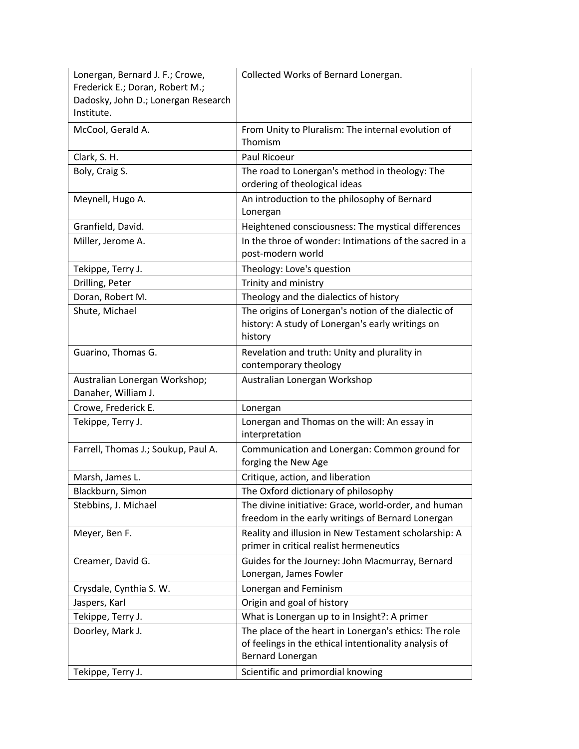| Lonergan, Bernard J. F.; Crowe,<br>Frederick E.; Doran, Robert M.;<br>Dadosky, John D.; Lonergan Research<br>Institute. | Collected Works of Bernard Lonergan.                                                                                |
|-------------------------------------------------------------------------------------------------------------------------|---------------------------------------------------------------------------------------------------------------------|
| McCool, Gerald A.                                                                                                       | From Unity to Pluralism: The internal evolution of<br>Thomism                                                       |
| Clark, S. H.                                                                                                            | Paul Ricoeur                                                                                                        |
| Boly, Craig S.                                                                                                          | The road to Lonergan's method in theology: The<br>ordering of theological ideas                                     |
| Meynell, Hugo A.                                                                                                        | An introduction to the philosophy of Bernard<br>Lonergan                                                            |
| Granfield, David.                                                                                                       | Heightened consciousness: The mystical differences                                                                  |
| Miller, Jerome A.                                                                                                       | In the throe of wonder: Intimations of the sacred in a<br>post-modern world                                         |
| Tekippe, Terry J.                                                                                                       | Theology: Love's question                                                                                           |
| Drilling, Peter                                                                                                         | Trinity and ministry                                                                                                |
| Doran, Robert M.                                                                                                        | Theology and the dialectics of history                                                                              |
| Shute, Michael                                                                                                          | The origins of Lonergan's notion of the dialectic of<br>history: A study of Lonergan's early writings on<br>history |
| Guarino, Thomas G.                                                                                                      | Revelation and truth: Unity and plurality in<br>contemporary theology                                               |
| Australian Lonergan Workshop;<br>Danaher, William J.                                                                    | Australian Lonergan Workshop                                                                                        |
| Crowe, Frederick E.                                                                                                     | Lonergan                                                                                                            |
| Tekippe, Terry J.                                                                                                       | Lonergan and Thomas on the will: An essay in<br>interpretation                                                      |
| Farrell, Thomas J.; Soukup, Paul A.                                                                                     | Communication and Lonergan: Common ground for<br>forging the New Age                                                |
| Marsh, James L.                                                                                                         | Critique, action, and liberation                                                                                    |
| Blackburn, Simon                                                                                                        | The Oxford dictionary of philosophy                                                                                 |
| Stebbins, J. Michael                                                                                                    | The divine initiative: Grace, world-order, and human<br>freedom in the early writings of Bernard Lonergan           |
| Meyer, Ben F.                                                                                                           | Reality and illusion in New Testament scholarship: A<br>primer in critical realist hermeneutics                     |
| Creamer, David G.                                                                                                       | Guides for the Journey: John Macmurray, Bernard<br>Lonergan, James Fowler                                           |
| Crysdale, Cynthia S. W.                                                                                                 | Lonergan and Feminism                                                                                               |
| Jaspers, Karl                                                                                                           | Origin and goal of history                                                                                          |
| Tekippe, Terry J.                                                                                                       | What is Lonergan up to in Insight?: A primer                                                                        |
| Doorley, Mark J.                                                                                                        | The place of the heart in Lonergan's ethics: The role                                                               |
|                                                                                                                         | of feelings in the ethical intentionality analysis of<br>Bernard Lonergan<br>Scientific and primordial knowing      |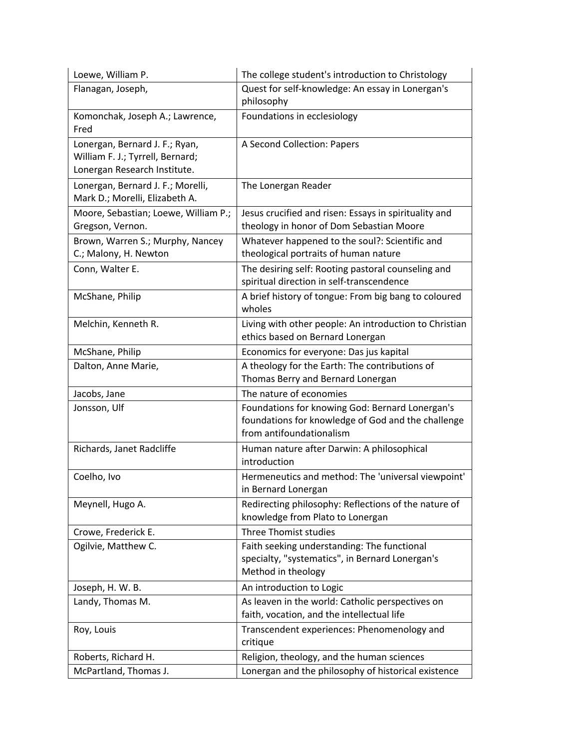| Loewe, William P.                                                                                  | The college student's introduction to Christology                                                                                 |
|----------------------------------------------------------------------------------------------------|-----------------------------------------------------------------------------------------------------------------------------------|
| Flanagan, Joseph,                                                                                  | Quest for self-knowledge: An essay in Lonergan's<br>philosophy                                                                    |
| Komonchak, Joseph A.; Lawrence,<br>Fred                                                            | Foundations in ecclesiology                                                                                                       |
| Lonergan, Bernard J. F.; Ryan,<br>William F. J.; Tyrrell, Bernard;<br>Lonergan Research Institute. | A Second Collection: Papers                                                                                                       |
| Lonergan, Bernard J. F.; Morelli,<br>Mark D.; Morelli, Elizabeth A.                                | The Lonergan Reader                                                                                                               |
| Moore, Sebastian; Loewe, William P.;<br>Gregson, Vernon.                                           | Jesus crucified and risen: Essays in spirituality and<br>theology in honor of Dom Sebastian Moore                                 |
| Brown, Warren S.; Murphy, Nancey<br>C.; Malony, H. Newton                                          | Whatever happened to the soul?: Scientific and<br>theological portraits of human nature                                           |
| Conn, Walter E.                                                                                    | The desiring self: Rooting pastoral counseling and<br>spiritual direction in self-transcendence                                   |
| McShane, Philip                                                                                    | A brief history of tongue: From big bang to coloured<br>wholes                                                                    |
| Melchin, Kenneth R.                                                                                | Living with other people: An introduction to Christian<br>ethics based on Bernard Lonergan                                        |
| McShane, Philip                                                                                    | Economics for everyone: Das jus kapital                                                                                           |
| Dalton, Anne Marie,                                                                                | A theology for the Earth: The contributions of<br>Thomas Berry and Bernard Lonergan                                               |
| Jacobs, Jane                                                                                       | The nature of economies                                                                                                           |
| Jonsson, Ulf                                                                                       | Foundations for knowing God: Bernard Lonergan's<br>foundations for knowledge of God and the challenge<br>from antifoundationalism |
| Richards, Janet Radcliffe                                                                          | Human nature after Darwin: A philosophical<br>introduction                                                                        |
| Coelho, Ivo                                                                                        | Hermeneutics and method: The 'universal viewpoint'<br>in Bernard Lonergan                                                         |
| Meynell, Hugo A.                                                                                   | Redirecting philosophy: Reflections of the nature of<br>knowledge from Plato to Lonergan                                          |
| Crowe, Frederick E.                                                                                | Three Thomist studies                                                                                                             |
| Ogilvie, Matthew C.                                                                                | Faith seeking understanding: The functional<br>specialty, "systematics", in Bernard Lonergan's<br>Method in theology              |
| Joseph, H. W. B.                                                                                   | An introduction to Logic                                                                                                          |
| Landy, Thomas M.                                                                                   | As leaven in the world: Catholic perspectives on<br>faith, vocation, and the intellectual life                                    |
| Roy, Louis                                                                                         | Transcendent experiences: Phenomenology and<br>critique                                                                           |
| Roberts, Richard H.                                                                                | Religion, theology, and the human sciences                                                                                        |
| McPartland, Thomas J.                                                                              | Lonergan and the philosophy of historical existence                                                                               |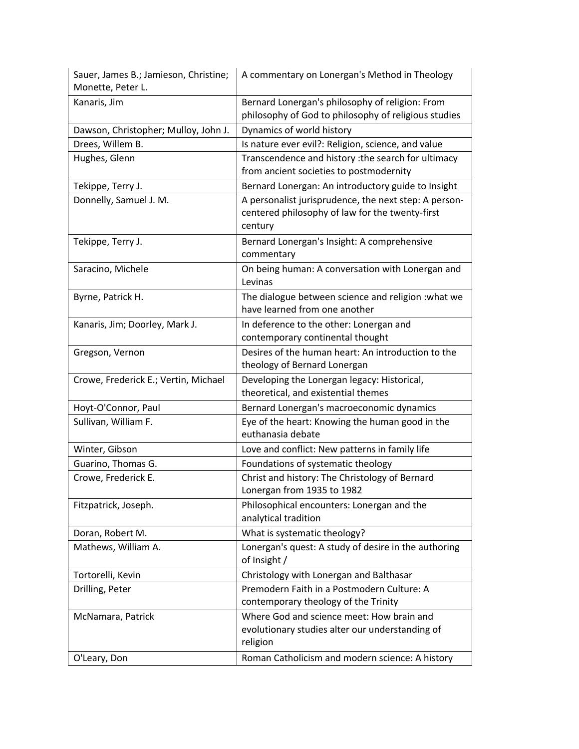| Sauer, James B.; Jamieson, Christine;<br>Monette, Peter L. | A commentary on Lonergan's Method in Theology                                                                       |
|------------------------------------------------------------|---------------------------------------------------------------------------------------------------------------------|
| Kanaris, Jim                                               | Bernard Lonergan's philosophy of religion: From<br>philosophy of God to philosophy of religious studies             |
| Dawson, Christopher; Mulloy, John J.                       | Dynamics of world history                                                                                           |
| Drees, Willem B.                                           | Is nature ever evil?: Religion, science, and value                                                                  |
| Hughes, Glenn                                              | Transcendence and history : the search for ultimacy<br>from ancient societies to postmodernity                      |
| Tekippe, Terry J.                                          | Bernard Lonergan: An introductory guide to Insight                                                                  |
| Donnelly, Samuel J. M.                                     | A personalist jurisprudence, the next step: A person-<br>centered philosophy of law for the twenty-first<br>century |
| Tekippe, Terry J.                                          | Bernard Lonergan's Insight: A comprehensive<br>commentary                                                           |
| Saracino, Michele                                          | On being human: A conversation with Lonergan and<br>Levinas                                                         |
| Byrne, Patrick H.                                          | The dialogue between science and religion : what we<br>have learned from one another                                |
| Kanaris, Jim; Doorley, Mark J.                             | In deference to the other: Lonergan and<br>contemporary continental thought                                         |
| Gregson, Vernon                                            | Desires of the human heart: An introduction to the<br>theology of Bernard Lonergan                                  |
| Crowe, Frederick E.; Vertin, Michael                       | Developing the Lonergan legacy: Historical,<br>theoretical, and existential themes                                  |
| Hoyt-O'Connor, Paul                                        | Bernard Lonergan's macroeconomic dynamics                                                                           |
| Sullivan, William F.                                       | Eye of the heart: Knowing the human good in the<br>euthanasia debate                                                |
| Winter, Gibson                                             | Love and conflict: New patterns in family life                                                                      |
| Guarino, Thomas G.                                         | Foundations of systematic theology                                                                                  |
| Crowe, Frederick E.                                        | Christ and history: The Christology of Bernard<br>Lonergan from 1935 to 1982                                        |
| Fitzpatrick, Joseph.                                       | Philosophical encounters: Lonergan and the<br>analytical tradition                                                  |
| Doran, Robert M.                                           | What is systematic theology?                                                                                        |
| Mathews, William A.                                        | Lonergan's quest: A study of desire in the authoring<br>of Insight /                                                |
| Tortorelli, Kevin                                          | Christology with Lonergan and Balthasar                                                                             |
| Drilling, Peter                                            | Premodern Faith in a Postmodern Culture: A<br>contemporary theology of the Trinity                                  |
| McNamara, Patrick                                          | Where God and science meet: How brain and<br>evolutionary studies alter our understanding of<br>religion            |
| O'Leary, Don                                               | Roman Catholicism and modern science: A history                                                                     |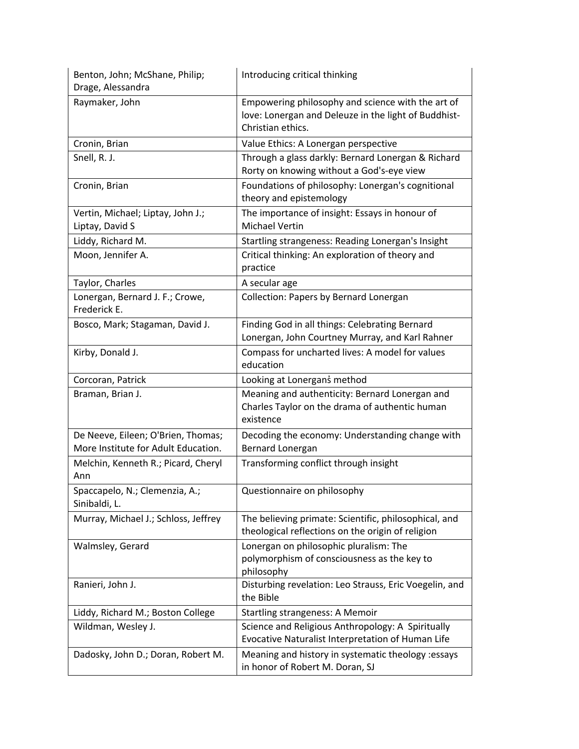| Benton, John; McShane, Philip;<br>Drage, Alessandra                       | Introducing critical thinking                                                                                                  |
|---------------------------------------------------------------------------|--------------------------------------------------------------------------------------------------------------------------------|
| Raymaker, John                                                            | Empowering philosophy and science with the art of<br>love: Lonergan and Deleuze in the light of Buddhist-<br>Christian ethics. |
| Cronin, Brian                                                             | Value Ethics: A Lonergan perspective                                                                                           |
| Snell, R. J.                                                              | Through a glass darkly: Bernard Lonergan & Richard<br>Rorty on knowing without a God's-eye view                                |
| Cronin, Brian                                                             | Foundations of philosophy: Lonergan's cognitional<br>theory and epistemology                                                   |
| Vertin, Michael; Liptay, John J.;<br>Liptay, David S                      | The importance of insight: Essays in honour of<br><b>Michael Vertin</b>                                                        |
| Liddy, Richard M.                                                         | Startling strangeness: Reading Lonergan's Insight                                                                              |
| Moon, Jennifer A.                                                         | Critical thinking: An exploration of theory and<br>practice                                                                    |
| Taylor, Charles                                                           | A secular age                                                                                                                  |
| Lonergan, Bernard J. F.; Crowe,<br>Frederick E.                           | Collection: Papers by Bernard Lonergan                                                                                         |
| Bosco, Mark; Stagaman, David J.                                           | Finding God in all things: Celebrating Bernard<br>Lonergan, John Courtney Murray, and Karl Rahner                              |
| Kirby, Donald J.                                                          | Compass for uncharted lives: A model for values<br>education                                                                   |
| Corcoran, Patrick                                                         | Looking at Lonergans method                                                                                                    |
| Braman, Brian J.                                                          | Meaning and authenticity: Bernard Lonergan and<br>Charles Taylor on the drama of authentic human<br>existence                  |
| De Neeve, Eileen; O'Brien, Thomas;<br>More Institute for Adult Education. | Decoding the economy: Understanding change with<br>Bernard Lonergan                                                            |
| Melchin, Kenneth R.; Picard, Cheryl<br>Ann                                | Transforming conflict through insight                                                                                          |
| Spaccapelo, N.; Clemenzia, A.;<br>Sinibaldi, L.                           | Questionnaire on philosophy                                                                                                    |
| Murray, Michael J.; Schloss, Jeffrey                                      | The believing primate: Scientific, philosophical, and<br>theological reflections on the origin of religion                     |
| Walmsley, Gerard                                                          | Lonergan on philosophic pluralism: The<br>polymorphism of consciousness as the key to<br>philosophy                            |
| Ranieri, John J.                                                          | Disturbing revelation: Leo Strauss, Eric Voegelin, and<br>the Bible                                                            |
| Liddy, Richard M.; Boston College                                         | <b>Startling strangeness: A Memoir</b>                                                                                         |
| Wildman, Wesley J.                                                        | Science and Religious Anthropology: A Spiritually<br>Evocative Naturalist Interpretation of Human Life                         |
| Dadosky, John D.; Doran, Robert M.                                        | Meaning and history in systematic theology :essays<br>in honor of Robert M. Doran, SJ                                          |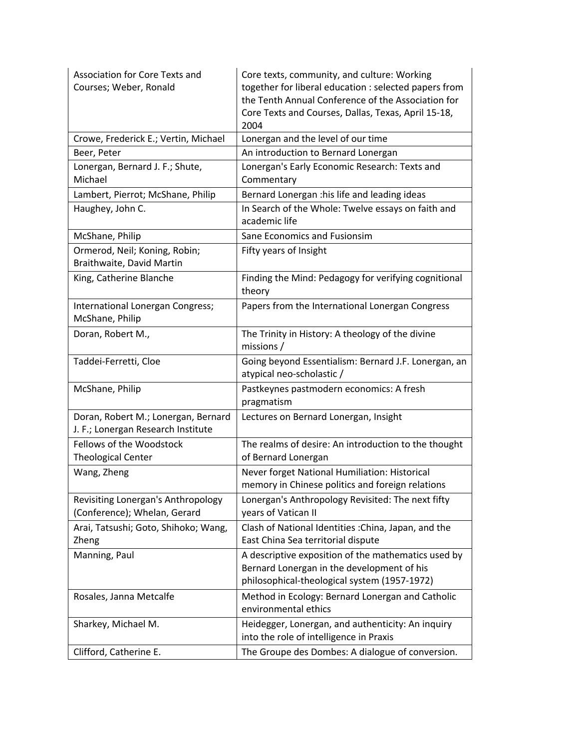| <b>Association for Core Texts and</b><br>Courses; Weber, Ronald           | Core texts, community, and culture: Working<br>together for liberal education : selected papers from<br>the Tenth Annual Conference of the Association for<br>Core Texts and Courses, Dallas, Texas, April 15-18,<br>2004 |
|---------------------------------------------------------------------------|---------------------------------------------------------------------------------------------------------------------------------------------------------------------------------------------------------------------------|
| Crowe, Frederick E.; Vertin, Michael                                      | Lonergan and the level of our time                                                                                                                                                                                        |
| Beer, Peter                                                               | An introduction to Bernard Lonergan                                                                                                                                                                                       |
| Lonergan, Bernard J. F.; Shute,<br>Michael                                | Lonergan's Early Economic Research: Texts and<br>Commentary                                                                                                                                                               |
| Lambert, Pierrot; McShane, Philip                                         | Bernard Lonergan : his life and leading ideas                                                                                                                                                                             |
| Haughey, John C.                                                          | In Search of the Whole: Twelve essays on faith and<br>academic life                                                                                                                                                       |
| McShane, Philip                                                           | Sane Economics and Fusionsim                                                                                                                                                                                              |
| Ormerod, Neil; Koning, Robin;<br>Braithwaite, David Martin                | Fifty years of Insight                                                                                                                                                                                                    |
| King, Catherine Blanche                                                   | Finding the Mind: Pedagogy for verifying cognitional<br>theory                                                                                                                                                            |
| International Lonergan Congress;<br>McShane, Philip                       | Papers from the International Lonergan Congress                                                                                                                                                                           |
| Doran, Robert M.,                                                         | The Trinity in History: A theology of the divine<br>missions /                                                                                                                                                            |
| Taddei-Ferretti, Cloe                                                     | Going beyond Essentialism: Bernard J.F. Lonergan, an<br>atypical neo-scholastic /                                                                                                                                         |
| McShane, Philip                                                           | Pastkeynes pastmodern economics: A fresh<br>pragmatism                                                                                                                                                                    |
| Doran, Robert M.; Lonergan, Bernard<br>J. F.; Lonergan Research Institute | Lectures on Bernard Lonergan, Insight                                                                                                                                                                                     |
| Fellows of the Woodstock<br><b>Theological Center</b>                     | The realms of desire: An introduction to the thought<br>of Bernard Lonergan                                                                                                                                               |
| Wang, Zheng                                                               | Never forget National Humiliation: Historical<br>memory in Chinese politics and foreign relations                                                                                                                         |
| Revisiting Lonergan's Anthropology<br>(Conference); Whelan, Gerard        | Lonergan's Anthropology Revisited: The next fifty<br>years of Vatican II                                                                                                                                                  |
| Arai, Tatsushi; Goto, Shihoko; Wang,<br>Zheng                             | Clash of National Identities : China, Japan, and the<br>East China Sea territorial dispute                                                                                                                                |
| Manning, Paul                                                             | A descriptive exposition of the mathematics used by<br>Bernard Lonergan in the development of his<br>philosophical-theological system (1957-1972)                                                                         |
| Rosales, Janna Metcalfe                                                   | Method in Ecology: Bernard Lonergan and Catholic<br>environmental ethics                                                                                                                                                  |
| Sharkey, Michael M.                                                       | Heidegger, Lonergan, and authenticity: An inquiry<br>into the role of intelligence in Praxis                                                                                                                              |
| Clifford, Catherine E.                                                    | The Groupe des Dombes: A dialogue of conversion.                                                                                                                                                                          |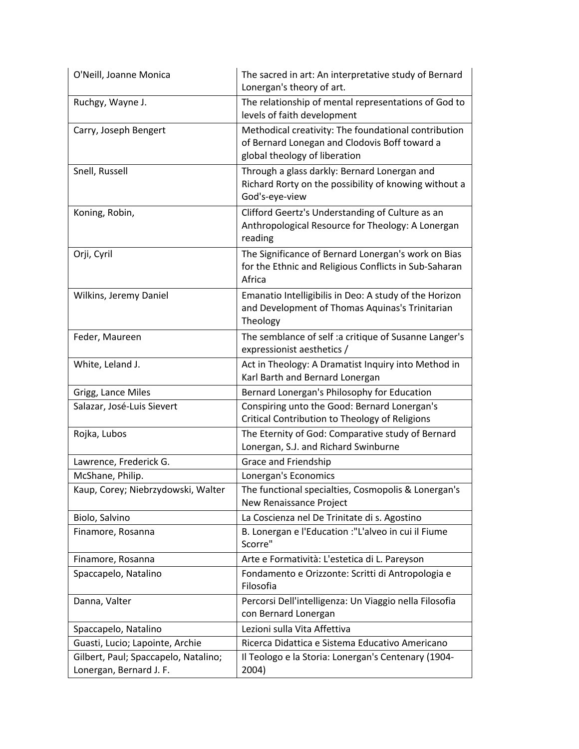| O'Neill, Joanne Monica                                          | The sacred in art: An interpretative study of Bernard<br>Lonergan's theory of art.                                                     |
|-----------------------------------------------------------------|----------------------------------------------------------------------------------------------------------------------------------------|
| Ruchgy, Wayne J.                                                | The relationship of mental representations of God to<br>levels of faith development                                                    |
| Carry, Joseph Bengert                                           | Methodical creativity: The foundational contribution<br>of Bernard Lonegan and Clodovis Boff toward a<br>global theology of liberation |
| Snell, Russell                                                  | Through a glass darkly: Bernard Lonergan and<br>Richard Rorty on the possibility of knowing without a<br>God's-eye-view                |
| Koning, Robin,                                                  | Clifford Geertz's Understanding of Culture as an<br>Anthropological Resource for Theology: A Lonergan<br>reading                       |
| Orji, Cyril                                                     | The Significance of Bernard Lonergan's work on Bias<br>for the Ethnic and Religious Conflicts in Sub-Saharan<br>Africa                 |
| Wilkins, Jeremy Daniel                                          | Emanatio Intelligibilis in Deo: A study of the Horizon<br>and Development of Thomas Aquinas's Trinitarian<br>Theology                  |
| Feder, Maureen                                                  | The semblance of self :a critique of Susanne Langer's<br>expressionist aesthetics /                                                    |
| White, Leland J.                                                | Act in Theology: A Dramatist Inquiry into Method in<br>Karl Barth and Bernard Lonergan                                                 |
| Grigg, Lance Miles                                              | Bernard Lonergan's Philosophy for Education                                                                                            |
| Salazar, José-Luis Sievert                                      | Conspiring unto the Good: Bernard Lonergan's<br>Critical Contribution to Theology of Religions                                         |
| Rojka, Lubos                                                    | The Eternity of God: Comparative study of Bernard<br>Lonergan, S.J. and Richard Swinburne                                              |
| Lawrence, Frederick G.                                          | Grace and Friendship                                                                                                                   |
| McShane, Philip.                                                | Lonergan's Economics                                                                                                                   |
| Kaup, Corey; Niebrzydowski, Walter                              | The functional specialties, Cosmopolis & Lonergan's<br>New Renaissance Project                                                         |
| Biolo, Salvino                                                  | La Coscienza nel De Trinitate di s. Agostino                                                                                           |
| Finamore, Rosanna                                               | B. Lonergan e l'Education :"L'alveo in cui il Fiume<br>Scorre"                                                                         |
| Finamore, Rosanna                                               | Arte e Formatività: L'estetica di L. Pareyson                                                                                          |
| Spaccapelo, Natalino                                            | Fondamento e Orizzonte: Scritti di Antropologia e<br>Filosofia                                                                         |
| Danna, Valter                                                   | Percorsi Dell'intelligenza: Un Viaggio nella Filosofia<br>con Bernard Lonergan                                                         |
| Spaccapelo, Natalino                                            | Lezioni sulla Vita Affettiva                                                                                                           |
| Guasti, Lucio; Lapointe, Archie                                 | Ricerca Didattica e Sistema Educativo Americano                                                                                        |
| Gilbert, Paul; Spaccapelo, Natalino;<br>Lonergan, Bernard J. F. | Il Teologo e la Storia: Lonergan's Centenary (1904-<br>2004)                                                                           |